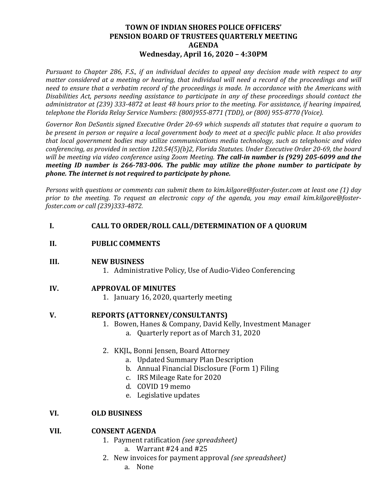## **TOWN OF INDIAN SHORES POLICE OFFICERS' PENSION BOARD OF TRUSTEES QUARTERLY MEETING AGENDA Wednesday, April 16, 2020 – 4:30PM**

*Pursuant to Chapter 286, F.S., if an individual decides to appeal any decision made with respect to any matter considered at a meeting or hearing, that individual will need a record of the proceedings and will need to ensure that a verbatim record of the proceedings is made. In accordance with the Americans with Disabilities Act, persons needing assistance to participate in any of these proceedings should contact the administrator at (239) 333-4872 at least 48 hours prior to the meeting. For assistance, if hearing impaired, telephone the Florida Relay Service Numbers: (800)955-8771 (TDD), or (800) 955-8770 (Voice).*

*Governor Ron DeSantis signed Executive Order 20-69 which suspends all statutes that require a quorum to be present in person or require a local government body to meet at a specific public place. It also provides that local government bodies may utilize communications media technology, such as telephonic and video conferencing, as provided in section 120.54(5)(b)2, Florida Statutes. Under Executive Order 20-69, the board will be meeting via video conference using Zoom Meeting. The call-in number is (929) 205-6099 and the meeting ID number is 266-783-006. The public may utilize the phone number to participate by phone. The internet is not required to participate by phone.* 

*Persons with questions or comments can submit them to kim.kilgore@foster-foster.com at least one (1) day prior to the meeting. To request an electronic copy of the agenda, you may email kim.kilgore@fosterfoster.com or call (239)333-4872.* 

# **I. CALL TO ORDER/ROLL CALL/DETERMINATION OF A QUORUM**

## **II. PUBLIC COMMENTS**

#### **III. NEW BUSINESS**

1. Administrative Policy, Use of Audio-Video Conferencing

## **IV. APPROVAL OF MINUTES**

1. January 16, 2020, quarterly meeting

## **V. REPORTS (ATTORNEY/CONSULTANTS)**

- 1. Bowen, Hanes & Company, David Kelly, Investment Manager a. Quarterly report as of March 31, 2020
- 2. KKJL, Bonni Jensen, Board Attorney
	- a. Updated Summary Plan Description
	- b. Annual Financial Disclosure (Form 1) Filing
	- c. IRS Mileage Rate for 2020
	- d. COVID 19 memo
	- e. Legislative updates

## **VI. OLD BUSINESS**

## **VII. CONSENT AGENDA**

- 1. Payment ratification *(see spreadsheet)*
	- a. Warrant #24 and #25
- 2. New invoices for payment approval *(see spreadsheet)*
	- a. None